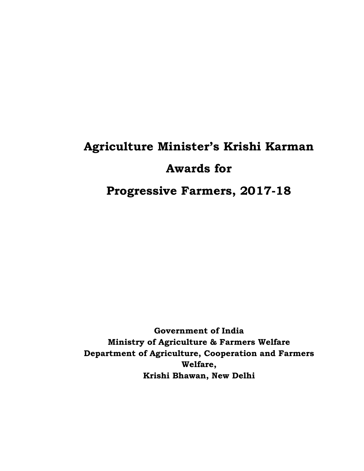# **Agriculture Minister's Krishi Karman Awards for Progressive Farmers, 2017-18**

**Government of India Ministry of Agriculture & Farmers Welfare Department of Agriculture, Cooperation and Farmers Welfare, Krishi Bhawan, New Delhi**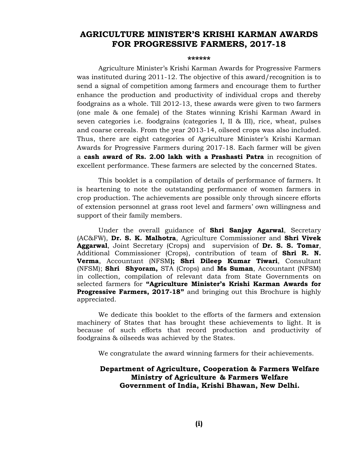#### **AGRICULTURE MINISTER'S KRISHI KARMAN AWARDS FOR PROGRESSIVE FARMERS, 2017-18**

#### **\*\*\*\*\*\***

Agriculture Minister's Krishi Karman Awards for Progressive Farmers was instituted during 2011-12. The objective of this award/recognition is to send a signal of competition among farmers and encourage them to further enhance the production and productivity of individual crops and thereby foodgrains as a whole. Till 2012-13, these awards were given to two farmers (one male & one female) of the States winning Krishi Karman Award in seven categories i.e. foodgrains (categories I, II & III), rice, wheat, pulses and coarse cereals. From the year 2013-14, oilseed crops was also included. Thus, there are eight categories of Agriculture Minister's Krishi Karman Awards for Progressive Farmers during 2017-18. Each farmer will be given a **cash award of Rs. 2.00 lakh with a Prashasti Patra** in recognition of excellent performance. These farmers are selected by the concerned States.

This booklet is a compilation of details of performance of farmers. It is heartening to note the outstanding performance of women farmers in crop production. The achievements are possible only through sincere efforts of extension personnel at grass root level and farmers' own willingness and support of their family members.

Under the overall guidance of **Shri Sanjay Agarwal**, Secretary (AC&FW), **Dr. S. K. Malhotra**, Agriculture Commissioner and **Shri Vivek Aggarwal**, Joint Secretary (Crops) and supervision of **Dr. S. S. Tomar**, Additional Commissioner (Crops), contribution of team of **Shri R. N. Verma**, Accountant (NFSM**); Shri Dileep Kumar Tiwari**, Consultant (NFSM); **Shri Shyoram,** STA (Crops) and **Ms Suman**, Accountant (NFSM) in collection, compilation of relevant data from State Governments on selected farmers for **"Agriculture Minister's Krishi Karman Awards for Progressive Farmers, 2017-18"** and bringing out this Brochure is highly appreciated.

We dedicate this booklet to the efforts of the farmers and extension machinery of States that has brought these achievements to light. It is because of such efforts that record production and productivity of foodgrains & oilseeds was achieved by the States.

We congratulate the award winning farmers for their achievements.

#### **Department of Agriculture, Cooperation & Farmers Welfare Ministry of Agriculture & Farmers Welfare Government of India, Krishi Bhawan, New Delhi.**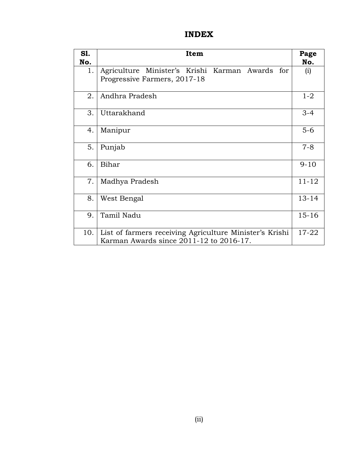#### **INDEX**

| <b>S1.</b> | Item                                                                                               | Page      |
|------------|----------------------------------------------------------------------------------------------------|-----------|
| No.        |                                                                                                    | No.       |
| 1.         | Agriculture Minister's Krishi Karman Awards for<br>Progressive Farmers, 2017-18                    | (i)       |
| 2.         | Andhra Pradesh                                                                                     | $1 - 2$   |
| 3.         | Uttarakhand                                                                                        | $3 - 4$   |
| 4.         | Manipur                                                                                            | $5-6$     |
| 5.         | Punjab                                                                                             | $7 - 8$   |
| 6.         | Bihar                                                                                              | $9 - 10$  |
| 7.         | Madhya Pradesh                                                                                     | $11 - 12$ |
| 8.         | West Bengal                                                                                        | $13 - 14$ |
| 9.         | Tamil Nadu                                                                                         | $15 - 16$ |
| 10.        | List of farmers receiving Agriculture Minister's Krishi<br>Karman Awards since 2011-12 to 2016-17. | $17 - 22$ |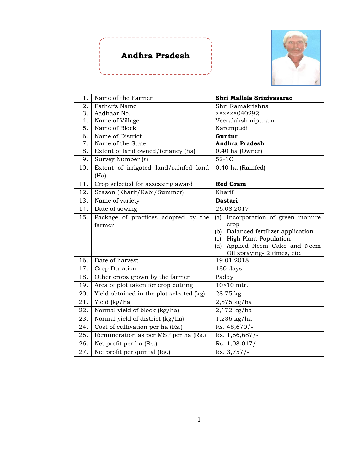### **Andhra Pradesh**

\_\_\_\_\_\_\_\_\_\_\_\_



| 1.  | Name of the Farmer                       | Shri Mallela Srinivasarao                 |
|-----|------------------------------------------|-------------------------------------------|
| 2.  | Father's Name                            | Shri Ramakrishna                          |
| 3.  | Aadhaar No.                              | $x \times x \times x \times 040292$       |
| 4.  | Name of Village                          | Veeralakshmipuram                         |
| 5.  | Name of Block                            | Karempudi                                 |
| 6.  | Name of District                         | Guntur                                    |
| 7.  | Name of the State                        | <b>Andhra Pradesh</b>                     |
| 8.  | Extent of land owned/tenancy (ha)        | $0.40$ ha (Owner)                         |
| 9.  | Survey Number (s)                        | $52-1C$                                   |
| 10. | Extent of irrigated land/rainfed land    | 0.40 ha (Rainfed)                         |
|     | (Ha)                                     |                                           |
| 11. | Crop selected for assessing award        | <b>Red Gram</b>                           |
| 12. | Season (Kharif/Rabi/Summer)              | Kharif                                    |
| 13. | Name of variety                          | <b>Dastari</b>                            |
| 14. | Date of sowing                           | 26.08.2017                                |
| 15. | Package of practices adopted by the      | Incorporation of green manure<br>(a)      |
|     | farmer                                   | crop                                      |
|     |                                          | Balanced fertilizer application<br>(b)    |
|     |                                          | <b>High Plant Population</b><br>(c)       |
|     |                                          | (d) Applied Neem Cake and Neem            |
| 16. | Date of harvest                          | Oil spraying- 2 times, etc.<br>19.01.2018 |
|     |                                          |                                           |
| 17. | Crop Duration                            | 180 days                                  |
| 18. | Other crops grown by the farmer          | Paddy                                     |
| 19. | Area of plot taken for crop cutting      | $10\times10$ mtr.                         |
| 20. | Yield obtained in the plot selected (kg) | 28.75 kg                                  |
| 21. | Yield (kg/ha)                            | 2,875 kg/ha                               |
| 22. | Normal yield of block (kg/ha)            | $2,172$ kg/ha                             |
| 23. | Normal yield of district (kg/ha)         | 1,236 kg/ha                               |
| 24. | Cost of cultivation per ha (Rs.)         | Rs. 48,670/-                              |
| 25. | Remuneration as per MSP per ha (Rs.)     | Rs. 1,56,687/-                            |
| 26. | Net profit per ha (Rs.)                  | Rs. 1,08,017/-                            |
| 27. | Net profit per quintal (Rs.)             | $\overline{Rs}$ . 3,757/-                 |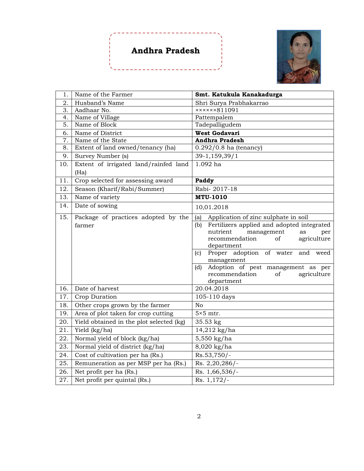## **Andhra Pradesh**



| 1.  | Name of the Farmer                       | Smt. Katukula Kanakadurga                                 |
|-----|------------------------------------------|-----------------------------------------------------------|
| 2.  | Husband's Name                           | Shri Surya Prabhakarrao                                   |
| 3.  | Aadhaar No.                              | xxxxx811091                                               |
| 4.  | Name of Village                          | Pattempalem                                               |
| 5.  | Name of Block                            | Tadepalligudem                                            |
| 6.  | Name of District                         | West Godavari                                             |
| 7.  | Name of the State                        | <b>Andhra Pradesh</b>                                     |
| 8.  | Extent of land owned/tenancy (ha)        | $0.292/0.8$ ha (tenancy)                                  |
| 9.  | Survey Number (s)                        | 39-1,159,39/1                                             |
| 10. | Extent of irrigated land/rainfed land    | 1.092 ha                                                  |
|     | (Ha)                                     |                                                           |
| 11. | Crop selected for assessing award        | Paddy                                                     |
| 12. | Season (Kharif/Rabi/Summer)              | Rabi-2017-18                                              |
| 13. | Name of variety                          | <b>MTU-1010</b>                                           |
| 14. | Date of sowing                           | 10.01.2018                                                |
| 15. | Package of practices adopted by the      | Application of zinc sulphate in soil<br>(a)               |
|     | farmer                                   | Fertilizers applied and adopted integrated<br>(b)         |
|     |                                          | nutrient<br>management<br>as<br>per                       |
|     |                                          | recommendation<br>of<br>agriculture                       |
|     |                                          | department<br>Proper adoption of water<br>and weed<br>(c) |
|     |                                          | management                                                |
|     |                                          | Adoption of pest management as per<br>(d)                 |
|     |                                          | recommendation<br>of<br>agriculture                       |
|     |                                          | department                                                |
| 16. | Date of harvest                          | 20.04.2018                                                |
| 17. | Crop Duration                            | 105-110 days                                              |
| 18. | Other crops grown by the farmer          | N <sub>o</sub>                                            |
| 19. | Area of plot taken for crop cutting      | $5\times 5$ mtr.                                          |
| 20. | Yield obtained in the plot selected (kg) | 35.53 kg                                                  |
| 21. | Yield (kg/ha)                            | 14,212 kg/ha                                              |
| 22. | Normal yield of block (kg/ha)            | 5,550 kg/ha                                               |
| 23. | Normal yield of district (kg/ha)         | 8,020 kg/ha                                               |
| 24. | Cost of cultivation per ha (Rs.)         | $Rs.53,750/-$                                             |
| 25. | Remuneration as per MSP per ha (Rs.)     | $\overline{R}$ s. 2,20,286/-                              |
| 26. | Net profit per ha (Rs.)                  | Rs. 1,66,536/-                                            |
| 27. | Net profit per quintal (Rs.)             | Rs. $1,172/-$                                             |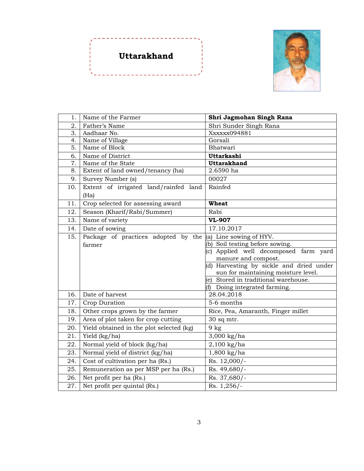



| 1.  | Name of the Farmer                       | Shri Jagmohan Singh Rana                    |
|-----|------------------------------------------|---------------------------------------------|
| 2.  | Father's Name                            | Shri Sunder Singh Rana                      |
| 3.  | Aadhaar No.                              | Xxxxxx094881                                |
| 4.  | Name of Village                          | Gorsali                                     |
| 5.  | Name of Block                            | Bhatwari                                    |
| 6.  | Name of District                         | Uttarkashi                                  |
| 7.  | Name of the State                        | <b>Uttarakhand</b>                          |
| 8.  | Extent of land owned/tenancy (ha)        | 2.6590 ha                                   |
| 9.  | Survey Number (s)                        | 00027                                       |
| 10. | Extent of irrigated land/rainfed land    | Rainfed                                     |
|     | (Ha)                                     |                                             |
| 11. | Crop selected for assessing award        | <b>Wheat</b>                                |
| 12. | Season (Kharif/Rabi/Summer)              | Rabi                                        |
| 13. | Name of variety                          | <b>VL-907</b>                               |
| 14. | Date of sowing                           | 17.10.2017                                  |
| 15. | Package of practices adopted by the      | (a) Line sowing of HYV.                     |
|     | farmer                                   | (b) Soil testing before sowing.             |
|     |                                          | (c) Applied well decomposed farm yard       |
|     |                                          | manure and compost.                         |
|     |                                          | (d) Harvesting by sickle and dried under    |
|     |                                          | sun for maintaining moisture level.         |
|     |                                          | (e) Stored in traditional warehouse.        |
| 16. | Date of harvest                          | (f) Doing integrated farming.<br>28.04.2018 |
|     |                                          |                                             |
| 17. | Crop Duration                            | 5-6 months                                  |
| 18. | Other crops grown by the farmer          | Rice, Pea, Amaranth, Finger millet          |
| 19. | Area of plot taken for crop cutting      | 30 sq mtr.                                  |
| 20. | Yield obtained in the plot selected (kg) | $9$ kg                                      |
| 21. | Yield (kg/ha)                            | 3,000 kg/ha                                 |
| 22. | Normal yield of block (kg/ha)            | $2,100$ kg/ha                               |
| 23. | Normal yield of district (kg/ha)         | $1,800$ kg/ha                               |
| 24. | Cost of cultivation per ha (Rs.)         | Rs. 12,000/-                                |
| 25. | Remuneration as per MSP per ha (Rs.)     | Rs. 49,680/-                                |
| 26. | Net profit per ha (Rs.)                  | Rs. 37,680/-                                |
| 27. | Net profit per quintal (Rs.)             | Rs. 1,256/-                                 |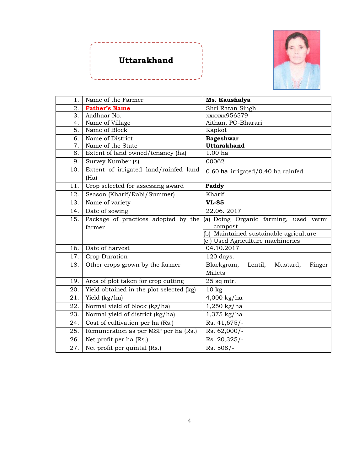# **Uttarakhand**



| 1 <sub>1</sub> | Name of the Farmer                       | Ms. Kaushalya                               |
|----------------|------------------------------------------|---------------------------------------------|
| 2.             | <b>Father's Name</b>                     | Shri Ratan Singh                            |
| 3.             | Aadhaar No.                              | xxxxxx956579                                |
| 4.             | Name of Village                          | Aithan, PO-Bharari                          |
| 5.             | Name of Block                            | Kapkot                                      |
| 6.             | Name of District                         | <b>Bageshwar</b>                            |
| 7.             | Name of the State                        | <b>Uttarakhand</b>                          |
| 8.             | Extent of land owned/tenancy (ha)        | 1.00 <sub>ha</sub>                          |
| 9.             | Survey Number (s)                        | 00062                                       |
| 10.            | Extent of irrigated land/rainfed land    | $0.60$ ha irrigated/0.40 ha rainfed         |
|                | (Ha)                                     |                                             |
| 11.            | Crop selected for assessing award        | Paddy                                       |
| 12.            | Season (Kharif/Rabi/Summer)              | Kharif                                      |
| 13.            | Name of variety                          | <b>VL-85</b>                                |
| 14.            | Date of sowing                           | 22.06.2017                                  |
| 15.            | Package of practices adopted by the      | (a) Doing Organic farming, used vermi       |
|                | farmer                                   | compost                                     |
|                |                                          | (b) Maintained sustainable agriculture      |
|                |                                          | (c) Used Agriculture machineries            |
| 16.            | Date of harvest                          | 04.10.2017                                  |
| 17.            | Crop Duration                            | 120 days.                                   |
| 18.            | Other crops grown by the farmer          | Blackgram,<br>Lentil,<br>Mustard,<br>Finger |
|                |                                          | Millets                                     |
| 19.            | Area of plot taken for crop cutting      | $25$ sq mtr.                                |
| 20.            | Yield obtained in the plot selected (kg) | 10 <sub>kg</sub>                            |
| 21.            | Yield (kg/ha)                            | $4,000$ kg/ha                               |
| 22.            | Normal yield of block (kg/ha)            | $1,250$ kg/ha                               |
| 23.            | Normal yield of district (kg/ha)         | $1,375$ kg/ha                               |
| 24.            | Cost of cultivation per ha (Rs.)         | Rs. 41,675/-                                |
| 25.            | Remuneration as per MSP per ha (Rs.)     | Rs. 62,000/-                                |
| 26.            | Net profit per ha (Rs.)                  | Rs. 20,325/-                                |
| 27.            | Net profit per quintal (Rs.)             | Rs. 508/-                                   |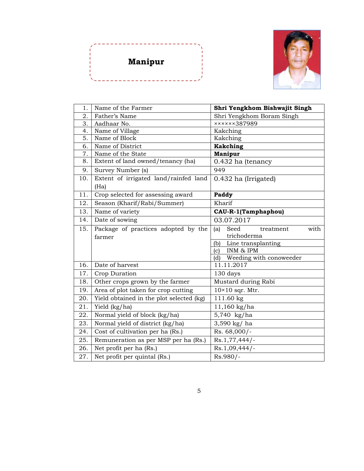



| 1.  | Name of the Farmer                       | Shri Yengkhom Bishwajit Singh    |
|-----|------------------------------------------|----------------------------------|
| 2.  | Father's Name                            | Shri Yengkhom Boram Singh        |
| 3.  | Aadhaar No.                              | xxxxx387989                      |
| 4.  | Name of Village                          | Kakching                         |
| 5.  | Name of Block                            | Kakching                         |
| 6.  | Name of District                         | Kakching                         |
| 7.  | Name of the State                        | <b>Manipur</b>                   |
| 8.  | Extent of land owned/tenancy (ha)        | 0.432 ha (tenancy                |
| 9.  | Survey Number (s)                        | 949                              |
| 10. | Extent of irrigated land/rainfed land    | 0.432 ha (Irrigated)             |
|     | (Ha)                                     |                                  |
| 11. | Crop selected for assessing award        | Paddy                            |
| 12. | Season (Kharif/Rabi/Summer)              | Kharif                           |
| 13. | Name of variety                          | <b>CAU-R-1(Tamphaphou)</b>       |
| 14. | Date of sowing                           | 03.07.2017                       |
| 15. | Package of practices adopted by the      | Seed<br>with<br>(a)<br>treatment |
|     | farmer                                   | trichoderma                      |
|     |                                          | Line transplanting<br>(b)        |
|     |                                          | INM & IPM<br>(c)                 |
|     |                                          | Weeding with conoweeder<br>(d)   |
| 16. | Date of harvest                          | 11.11.2017                       |
| 17. | Crop Duration                            | 130 days                         |
| 18. | Other crops grown by the farmer          | Mustard during Rabi              |
| 19. | Area of plot taken for crop cutting      | $10\times10$ sqr. Mtr.           |
| 20. | Yield obtained in the plot selected (kg) | 111.60 kg                        |
| 21. | Yield (kg/ha)                            | $11,160$ kg/ha                   |
| 22. | Normal yield of block (kg/ha)            | 5,740 kg/ha                      |
| 23. | Normal yield of district (kg/ha)         | 3,590 kg/ ha                     |
| 24. | Cost of cultivation per ha (Rs.)         | Rs. 68,000/-                     |
| 25. | Remuneration as per MSP per ha (Rs.)     | $Rs.1,77,444/$ -                 |
| 26. | Net profit per ha (Rs.)                  | $Rs.1,09,444/$ -                 |
| 27. | Net profit per quintal (Rs.)             | Rs.980/-                         |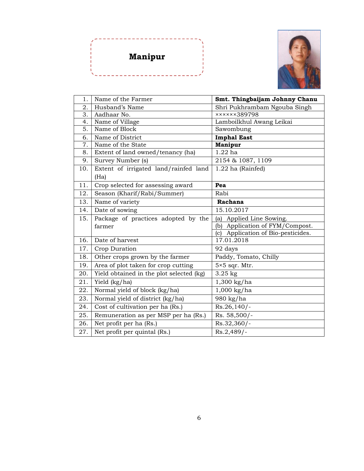



| 1 <sub>1</sub> | Name of the Farmer                       | Smt. Thingbaijam Johnny Chanu      |
|----------------|------------------------------------------|------------------------------------|
| 2.             | Husband's Name                           | Shri Pukhrambam Ngouba Singh       |
| 3.             | Aadhaar No.                              | xxxxx389798                        |
| 4.             | Name of Village                          | Lamboilkhul Awang Leikai           |
| 5.             | Name of Block                            | Sawombung                          |
| 6.             | Name of District                         | <b>Imphal East</b>                 |
| 7.             | Name of the State                        | <b>Manipur</b>                     |
| 8.             | Extent of land owned/tenancy (ha)        | $1.22$ ha                          |
| 9.             | Survey Number (s)                        | 2154 & 1087, 1109                  |
| 10.            | Extent of irrigated land/rainfed land    | 1.22 ha (Rainfed)                  |
|                | (Ha)                                     |                                    |
| 11.            | Crop selected for assessing award        | Pea                                |
| 12.            | Season (Kharif/Rabi/Summer)              | Rabi                               |
| 13.            | Name of variety                          | Rachana                            |
| 14.            | Date of sowing                           | 15.10.2017                         |
| 15.            | Package of practices adopted by the      | Applied Line Sowing.<br>(a)        |
|                | farmer                                   | (b) Application of FYM/Compost.    |
|                |                                          | (c) Application of Bio-pesticides. |
| 16.            | Date of harvest                          | 17.01.2018                         |
| 17.            | Crop Duration                            | 92 days                            |
| 18.            | Other crops grown by the farmer          | Paddy, Tomato, Chilly              |
| 19.            | Area of plot taken for crop cutting      | $5\times 5$ sqr. Mtr.              |
| 20.            | Yield obtained in the plot selected (kg) | $3.25$ kg                          |
| 21.            | Yield (kg/ha)                            | $1,300$ kg/ha                      |
| 22.            | Normal yield of block (kg/ha)            | $1,000$ kg/ha                      |
| 23.            | Normal yield of district (kg/ha)         | 980 kg/ha                          |
| 24.            | Cost of cultivation per ha (Rs.)         | Rs.26,140/-                        |
| 25.            | Remuneration as per MSP per ha (Rs.)     | Rs. 58,500/-                       |
| 26.            | Net profit per ha (Rs.)                  | Rs.32,360/-                        |
| 27.            | Net profit per quintal (Rs.)             | $Rs.2,489/-$                       |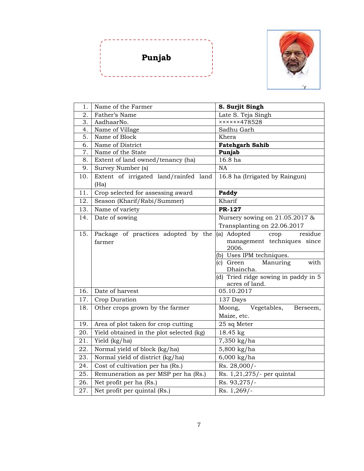



| 1.  | Name of the Farmer                            | S. Surjit Singh                                                                                                                                                                                            |
|-----|-----------------------------------------------|------------------------------------------------------------------------------------------------------------------------------------------------------------------------------------------------------------|
| 2.  | Father's Name                                 | Late S. Teja Singh                                                                                                                                                                                         |
| 3.  | AadhaarNo.                                    | xxxxx478528                                                                                                                                                                                                |
| 4.  | Name of Village                               | Sadhu Garh                                                                                                                                                                                                 |
| 5.  | Name of Block                                 | Khera                                                                                                                                                                                                      |
| 6.  | Name of District                              | <b>Fatehgarh Sahib</b>                                                                                                                                                                                     |
| 7.  | Name of the State                             | Punjab                                                                                                                                                                                                     |
| 8.  | Extent of land owned/tenancy (ha)             | 16.8 ha                                                                                                                                                                                                    |
| 9.  | Survey Number (s)                             | <b>NA</b>                                                                                                                                                                                                  |
| 10. | Extent of irrigated land/rainfed land<br>(Ha) | 16.8 ha (Irrigated by Raingun)                                                                                                                                                                             |
| 11. | Crop selected for assessing award             | Paddy                                                                                                                                                                                                      |
| 12. | Season (Kharif/Rabi/Summer)                   | Kharif                                                                                                                                                                                                     |
| 13. | Name of variety                               | <b>PR-127</b>                                                                                                                                                                                              |
| 14. | Date of sowing                                | Nursery sowing on 21.05.2017 &                                                                                                                                                                             |
|     |                                               | Transplanting on 22.06.2017                                                                                                                                                                                |
| 15. | Package of practices adopted by the<br>farmer | (a) Adopted<br>residue<br>crop<br>management techniques since<br>2006.<br>(b) Uses IPM techniques.<br>(c) Green<br>Manuring<br>with<br>Dhaincha.<br>(d) Tried ridge sowing in paddy in 5<br>acres of land. |
| 16. | Date of harvest                               | 05.10.2017                                                                                                                                                                                                 |
| 17. | Crop Duration                                 | 137 Days                                                                                                                                                                                                   |
| 18. | Other crops grown by the farmer               | Moong,<br>Vegetables,<br>Berseem,                                                                                                                                                                          |
|     |                                               | Maize, etc.                                                                                                                                                                                                |
| 19. | Area of plot taken for crop cutting           | 25 sq Meter                                                                                                                                                                                                |
| 20. | Yield obtained in the plot selected (kg)      | 18.45 kg                                                                                                                                                                                                   |
| 21. | Yield (kg/ha)                                 | 7,350 kg/ha                                                                                                                                                                                                |
| 22. | Normal yield of block (kg/ha)                 | 5,800 kg/ha                                                                                                                                                                                                |
| 23. | Normal yield of district (kg/ha)              | $6,000$ kg/ha                                                                                                                                                                                              |
| 24. | Cost of cultivation per ha (Rs.)              | Rs. 28,000/-                                                                                                                                                                                               |
| 25. | Remuneration as per MSP per ha (Rs.)          | Rs. 1,21,275/- per quintal                                                                                                                                                                                 |
| 26. | Net profit per ha (Rs.)                       | Rs. 93,275/-                                                                                                                                                                                               |
| 27. | Net profit per quintal (Rs.)                  | Rs. 1,269/-                                                                                                                                                                                                |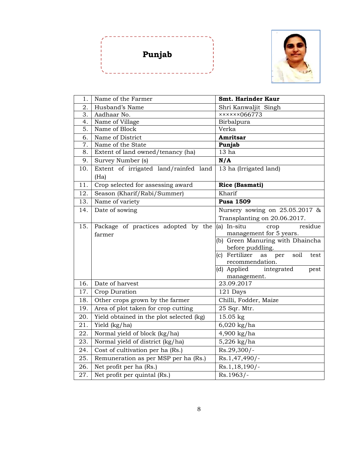



| 1.  | Name of the Farmer                       | <b>Smt. Harinder Kaur</b>                   |
|-----|------------------------------------------|---------------------------------------------|
| 2.  | Husband's Name                           | Shri Kanwaljit Singh                        |
| 3.  | Aadhaar No.                              | xxxxx8066773                                |
| 4.  | Name of Village                          | Birbalpura                                  |
| 5.  | Name of Block                            | Verka                                       |
| 6.  | Name of District                         | Amritsar                                    |
| 7.  | Name of the State                        | Punjab                                      |
| 8.  | Extent of land owned/tenancy (ha)        | 13 ha                                       |
| 9.  | Survey Number (s)                        | N/A                                         |
| 10. | Extent of irrigated land/rainfed land    | 13 ha (Irrigated land)                      |
|     | (Ha)                                     |                                             |
| 11. | Crop selected for assessing award        | Rice (Basmati)                              |
| 12. | Season (Kharif/Rabi/Summer)              | Kharif                                      |
| 13. | Name of variety                          | <b>Pusa 1509</b>                            |
| 14. | Date of sowing                           | Nursery sowing on 25.05.2017 &              |
|     |                                          | Transplanting on 20.06.2017.                |
| 15. | Package of practices adopted by the      | (a) In-situ<br>residue<br>crop              |
|     | farmer                                   | management for 5 years.                     |
|     |                                          | (b) Green Manuring with Dhaincha            |
|     |                                          | before puddling.                            |
|     |                                          | soil<br>(c) Fertilizer<br>per<br>as<br>test |
|     |                                          | recommendation.<br>(d) Applied integrated   |
|     |                                          | pest<br>management.                         |
| 16. | Date of harvest                          | 23.09.2017                                  |
| 17. | Crop Duration                            | 121 Days                                    |
| 18. | Other crops grown by the farmer          | Chilli, Fodder, Maize                       |
| 19. | Area of plot taken for crop cutting      | 25 Sqr. Mtr.                                |
| 20. | Yield obtained in the plot selected (kg) | 15.05 kg                                    |
| 21. | Yield (kg/ha)                            | 6,020 kg/ha                                 |
| 22. | Normal yield of block (kg/ha)            | 4,900 kg/ha                                 |
| 23. | Normal yield of district (kg/ha)         | 5,226 kg/ha                                 |
| 24. | Cost of cultivation per ha (Rs.)         | Rs.29,300/-                                 |
| 25. | Remuneration as per MSP per ha (Rs.)     | Rs.1,47,490/-                               |
| 26. | Net profit per ha (Rs.)                  | Rs.1,18,190/-                               |
| 27. | Net profit per quintal (Rs.)             | Rs.1963/-                                   |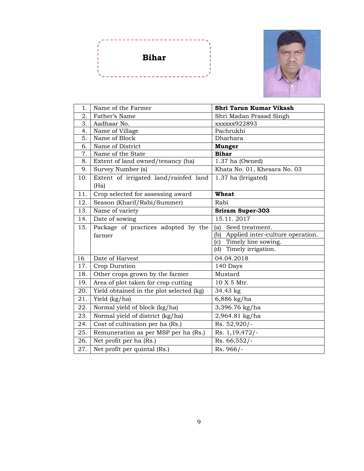



| 1.  | Name of the Farmer                       | Shri Tarun Kumar Vikash              |
|-----|------------------------------------------|--------------------------------------|
| 2.  | Father's Name                            | Shri Madan Prasad Singh              |
| 3.  | Aadhaar No.                              | xxxxxx922893                         |
| 4.  | Name of Village                          | Pachrukhi                            |
| 5.  | Name of Block                            | Dharhara                             |
| 6.  | Name of District                         | <b>Munger</b>                        |
| 7.  | Name of the State                        | <b>Bihar</b>                         |
| 8.  | Extent of land owned/tenancy (ha)        | 1.37 ha (Owned)                      |
| 9.  | Survey Number (s)                        | Khata No. 01, Khesara No. 03         |
| 10. | Extent of irrigated land/rainfed land    | 1.37 ha (Irrigated)                  |
|     | (Ha)                                     |                                      |
| 11. | Crop selected for assessing award        | <b>Wheat</b>                         |
| 12. | Season (Kharif/Rabi/Summer)              | Rabi                                 |
| 13. | Name of variety                          | <b>Sriram Super-303</b>              |
| 14. | Date of sowing                           | 15.11.2017                           |
| 15. | Package of practices adopted by the      | Seed treatment.<br>(a)               |
|     | farmer                                   | (b) Applied inter-culture operation. |
|     |                                          | (c) Timely line sowing.              |
|     |                                          | Timely irrigation.<br>(d)            |
| 16  | Date of Harvest                          | 04.04.2018                           |
| 17. | Crop Duration                            | 140 Days                             |
| 18. | Other crops grown by the farmer          | Mustard                              |
| 19. | Area of plot taken for crop cutting      | 10 X 5 Mtr.                          |
| 20. | Yield obtained in the plot selected (kg) | 34.43 kg                             |
| 21. | Yield (kg/ha)                            | 6,886 kg/ha                          |
| 22. | Normal yield of block (kg/ha)            | 3,396.76 kg/ha                       |
| 23. | Normal yield of district (kg/ha)         | 2,964.81 kg/ha                       |
| 24. | Cost of cultivation per ha (Rs.)         | Rs. 52,920/-                         |
| 25. |                                          |                                      |
|     | Remuneration as per MSP per ha (Rs.)     | Rs. 1, 19, 472/-                     |
| 26. | Net profit per ha (Rs.)                  | Rs. 66,552/-                         |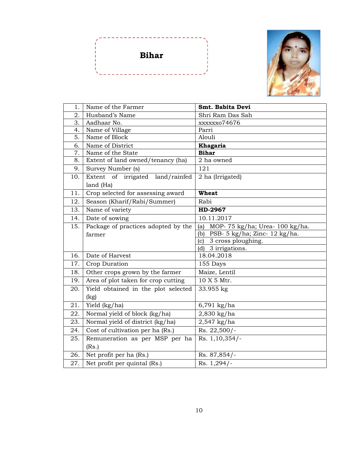



| 1.  | Name of the Farmer                  | Smt. Babita Devi                     |
|-----|-------------------------------------|--------------------------------------|
| 2.  | Husband's Name                      | Shri Ram Das Sah                     |
| 3.  | Aadhaar No.                         | xxxxxxo74676                         |
| 4.  | Name of Village                     | Parri                                |
| 5.  | Name of Block                       | Alouli                               |
| 6.  | Name of District                    | Khagaria                             |
| 7.  | Name of the State                   | <b>Bihar</b>                         |
| 8.  | Extent of land owned/tenancy (ha)   | 2 ha owned                           |
| 9.  | Survey Number (s)                   | 121                                  |
| 10. | Extent of irrigated land/rainfed    | 2 ha (Irrigated)                     |
|     | land (Ha)                           |                                      |
| 11. | Crop selected for assessing award   | <b>Wheat</b>                         |
| 12. | Season (Kharif/Rabi/Summer)         | Rabi                                 |
| 13. | Name of variety                     | HD-2967                              |
| 14. | Date of sowing                      | 10.11.2017                           |
| 15. | Package of practices adopted by the | MOP-75 kg/ha; Urea-100 kg/ha.<br>(a) |
|     | farmer                              | PSB-5 kg/ha; Zinc-12 kg/ha.<br>(b)   |
|     |                                     | (c) 3 cross ploughing.               |
|     |                                     | (d) 3 irrigations.                   |
| 16. | Date of Harvest                     | 18.04.2018                           |
| 17. | Crop Duration                       | 155 Days                             |
| 18. | Other crops grown by the farmer     | Maize, Lentil                        |
| 19. | Area of plot taken for crop cutting | 10 X 5 Mtr.                          |
| 20. | Yield obtained in the plot selected | 33.955 kg                            |
|     | (kg)                                |                                      |
| 21. | Yield (kg/ha)                       | $6,791$ kg/ha                        |
| 22. | Normal yield of block (kg/ha)       | 2,830 kg/ha                          |
| 23. | Normal yield of district (kg/ha)    | 2,547 kg/ha                          |
| 24. | Cost of cultivation per ha (Rs.)    | $\overline{\text{Rs}}$ . 22,500/-    |
| 25. | Remuneration as per MSP per ha      | Rs. 1,10,354/-                       |
|     | (Rs.)                               |                                      |
| 26. | Net profit per ha (Rs.)             | Rs. 87,854/-                         |
| 27. | Net profit per quintal (Rs.)        | $Rs. 1,294/-$                        |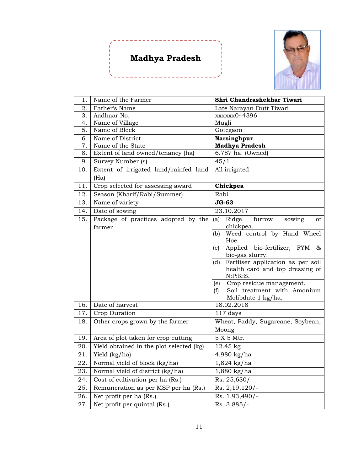# **Madhya Pradesh**



| 1.  | Name of the Farmer                            | Shri Chandrashekhar Tiwari                                           |
|-----|-----------------------------------------------|----------------------------------------------------------------------|
| 2.  | Father's Name                                 | Late Narayan Dutt Tiwari                                             |
| 3.  | Aadhaar No.                                   | xxxxxx044396                                                         |
| 4.  | Name of Village                               | Mugli                                                                |
| 5.  | Name of Block                                 | Gotegaon                                                             |
| 6.  | Name of District                              | Narsinghpur                                                          |
| 7.  | Name of the State                             | <b>Madhya Pradesh</b>                                                |
| 8.  | Extent of land owned/tenancy (ha)             | 6.787 ha. (Owned)                                                    |
| 9.  | Survey Number (s)                             | 45/1                                                                 |
| 10. | Extent of irrigated land/rainfed land<br>(Ha) | All irrigated                                                        |
| 11. | Crop selected for assessing award             | Chickpea                                                             |
| 12. | Season (Kharif/Rabi/Summer)                   | Rabi                                                                 |
| 13. | Name of variety                               | <b>JG-63</b>                                                         |
| 14. | Date of sowing                                | 23.10.2017                                                           |
| 15. | Package of practices adopted by the<br>farmer | Ridge<br>furrow<br>(a)<br>of<br>sowing<br>chickpea.                  |
|     |                                               | Weed control by Hand Wheel<br>(b)<br>Hoe.                            |
|     |                                               | Applied bio-fertilizer, $\overline{FYM}$ &<br>(c)<br>bio-gas slurry. |
|     |                                               | Fertliser application as per soil<br>(d)                             |
|     |                                               | health card and top dressing of<br>N: P: K: S.                       |
|     |                                               | (e) Crop residue management.                                         |
|     |                                               | Soil treatment with Amonium<br>(f)                                   |
|     |                                               | Molibdate 1 kg/ha.                                                   |
| 16. | Date of harvest                               | 18.02.2018                                                           |
| 17. | Crop Duration                                 | $117$ days                                                           |
| 18. | Other crops grown by the farmer               | Wheat, Paddy, Sugarcane, Soybean,                                    |
|     |                                               | Moong                                                                |
| 19. | Area of plot taken for crop cutting           | 5 X 5 Mtr.                                                           |
| 20. | Yield obtained in the plot selected (kg)      | $12.45 \text{ kg}$                                                   |
| 21. | Yield (kg/ha)                                 | 4,980 kg/ha                                                          |
|     | 22. Normal yield of block (kg/ha)             | $1,824$ kg/ha                                                        |
| 23. | Normal yield of district (kg/ha)              | 1,880 kg/ha                                                          |
| 24. | Cost of cultivation per ha (Rs.)              | Rs. 25,630/-                                                         |
| 25. | Remuneration as per MSP per ha (Rs.)          | Rs. 2, 19, 120/-                                                     |
| 26. | Net profit per ha (Rs.)                       | Rs. 1,93,490/-                                                       |
| 27. | Net profit per quintal (Rs.)                  | Rs. 3,885/-                                                          |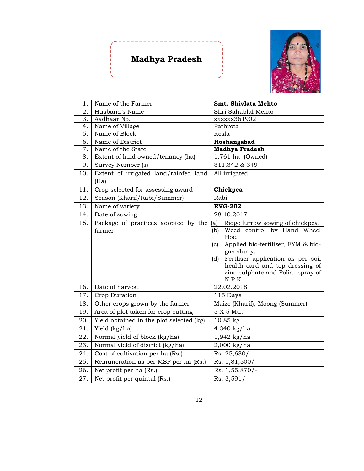# **Madhya Pradesh**

------------------



| 1.  | Name of the Farmer                       | Smt. Shivlata Mehto                                      |
|-----|------------------------------------------|----------------------------------------------------------|
| 2.  | Husband's Name                           | Shri Sahablal Mehto                                      |
| 3.  | Aadhaar No.                              | xxxxxx361902                                             |
| 4.  | Name of Village                          | Pathrota                                                 |
| 5.  | Name of Block                            | Kesla                                                    |
| 6.  | Name of District                         | Hoshangabad                                              |
| 7.  | Name of the State                        | <b>Madhya Pradesh</b>                                    |
| 8.  | Extent of land owned/tenancy (ha)        | 1.761 ha (Owned)                                         |
| 9.  | Survey Number (s)                        | $311,342$ & 349                                          |
| 10. | Extent of irrigated land/rainfed land    | All irrigated                                            |
|     | (Ha)                                     |                                                          |
| 11. | Crop selected for assessing award        | Chickpea                                                 |
| 12. | Season (Kharif/Rabi/Summer)              | Rabi                                                     |
| 13. | Name of variety                          | <b>RVG-202</b>                                           |
| 14. | Date of sowing                           | 28.10.2017                                               |
| 15. | Package of practices adopted by the      | (a)<br>Ridge furrow sowing of chickpea.                  |
|     | farmer                                   | Weed control by Hand Wheel<br>(b)                        |
|     |                                          | Hoe.                                                     |
|     |                                          | Applied bio-fertilizer, FYM & bio-<br>(c)<br>gas slurry. |
|     |                                          | Fertliser application as per soil<br>(d)                 |
|     |                                          | health card and top dressing of                          |
|     |                                          | zinc sulphate and Foliar spray of                        |
|     |                                          | N.P.K.                                                   |
| 16. | Date of harvest                          | 22.02.2018                                               |
| 17. | Crop Duration                            | 115 Days                                                 |
| 18. | Other crops grown by the farmer          | Maize (Kharif), Moong (Summer)                           |
| 19. | Area of plot taken for crop cutting      | 5 X 5 Mtr.                                               |
| 20. | Yield obtained in the plot selected (kg) | 10.85 kg                                                 |
| 21. | $\overline{Y}$ ield (kg/ha)              | 4,340 kg/ha                                              |
| 22. | Normal yield of block (kg/ha)            | 1,942 kg/ha                                              |
| 23. | Normal yield of district (kg/ha)         | 2,000 kg/ha                                              |
| 24. | Cost of cultivation per ha (Rs.)         | Rs. 25,630/-                                             |
| 25. | Remuneration as per MSP per ha (Rs.)     | Rs. 1,81,500/-                                           |
| 26. | Net profit per ha (Rs.)                  | Rs. 1,55,870/-                                           |
| 27. | Net profit per quintal (Rs.)             | Rs. 3,591/-                                              |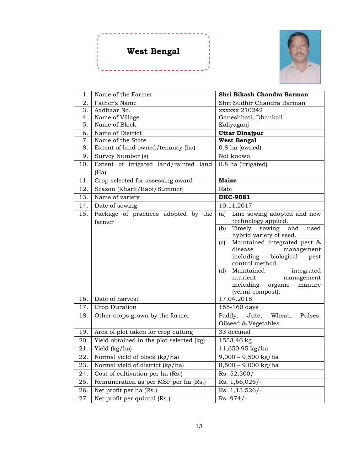# **West Bengal**



| 1.  | Name of the Farmer                            | Shri Bikash Chandra Barman                                |
|-----|-----------------------------------------------|-----------------------------------------------------------|
| 2.  | Father's Name                                 | Shri Sudhir Chandra Barman                                |
| 3.  | Aadhaar No.                                   | xxxxxx 210242                                             |
| 4.  | Name of Village                               | Ganeshbati, Dhankail                                      |
| 5.  | Name of Block                                 | Kaliyaganj                                                |
| 6.  | Name of District                              | <b>Uttar Dinajpur</b>                                     |
| 7.  | Name of the State                             | <b>West Bengal</b>                                        |
| 8.  | Extent of land owned/tenancy (ha)             | 0.8 ha (owned)                                            |
| 9.  | Survey Number (s)                             | Not known                                                 |
| 10. | Extent of irrigated land/rainfed land         | 0.8 ha (Irrigated)                                        |
|     | (Ha)                                          |                                                           |
| 11. | Crop selected for assessing award             | <b>Maize</b>                                              |
| 12. | Season (Kharif/Rabi/Summer)                   | Rabi                                                      |
| 13. | Name of variety                               | <b>DKC-9081</b>                                           |
| 14. | Date of sowing                                | 10.11.2017                                                |
| 15. | Package of practices adopted by the<br>farmer | Line sowing adopted and new<br>(a)<br>technology applied. |
|     |                                               | Timely<br>(b)<br>sowing<br>and<br>used                    |
|     |                                               | hybrid variety of seed.                                   |
|     |                                               | Maintained integrated pest &<br>(c)                       |
|     |                                               | disease<br>management                                     |
|     |                                               | including biological<br>pest                              |
|     |                                               | control method.                                           |
|     |                                               | Maintained<br>integrated<br>(d)                           |
|     |                                               | nutrient<br>management<br>including<br>organic<br>manure  |
|     |                                               | (vermi-compost).                                          |
| 16. | Date of harvest                               | 17.04.2018                                                |
| 17. | Crop Duration                                 | 155-160 days                                              |
| 18. | Other crops grown by the farmer               | Wheat,<br>Paddy, Jute,<br>Pulses,                         |
|     |                                               | Oilseed & Vegetables.                                     |
| 19. | Area of plot taken for crop cutting           | $33$ decimal                                              |
| 20. | Yield obtained in the plot selected (kg)      | 1553.46 kg                                                |
| 21. | Yield (kg/ha)                                 | 11,650.95 kg/ha                                           |
| 22. | Normal yield of block (kg/ha)                 | $9,000 - 9,500$ kg/ha                                     |
| 23. | Normal yield of district (kg/ha)              | $8,500 - 9,000$ kg/ha                                     |
| 24. | Cost of cultivation per ha (Rs.)              | Rs. 52,500/-                                              |
| 25. | Remuneration as per MSP per ha (Rs.)          | Rs. 1,66,026/-                                            |
| 26. | Net profit per ha (Rs.)                       | Rs. 1, 13, 526/-                                          |
| 27. | Net profit per quintal (Rs.)                  | Rs. 974/-                                                 |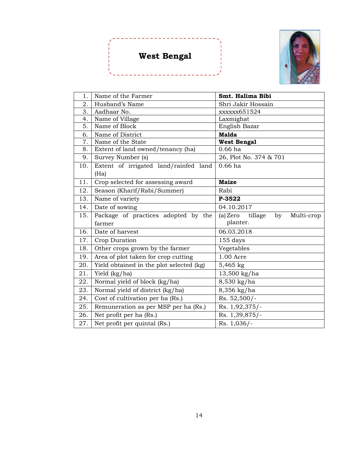# **West Bengal**

\_\_\_\_\_\_\_\_\_\_\_\_\_

 $\frac{1}{2} \frac{1}{2} \frac{1}{2} \frac{1}{2} \frac{1}{2} \frac{1}{2} \frac{1}{2} \frac{1}{2} \frac{1}{2}$ 



| 1.  | Name of the Farmer                            | Smt. Halima Bibi                        |
|-----|-----------------------------------------------|-----------------------------------------|
| 2.  | Husband's Name                                | Shri Jakir Hossain                      |
| 3.  | Aadhaar No.                                   | xxxxxx651524                            |
| 4.  | Name of Village                               | Laxmighat                               |
| 5.  | Name of Block                                 | English Bazar                           |
| 6.  | Name of District                              | <b>Malda</b>                            |
| 7.  | Name of the State                             | <b>West Bengal</b>                      |
| 8.  | Extent of land owned/tenancy (ha)             | $0.66$ ha                               |
| 9.  | Survey Number (s)                             | 26, Plot No. 374 & 701                  |
| 10. | Extent of irrigated land/rainfed land<br>(Ha) | $0.66$ ha                               |
| 11. | Crop selected for assessing award             | <b>Maize</b>                            |
|     |                                               |                                         |
| 12. | Season (Kharif/Rabi/Summer)                   | Rabi                                    |
| 13. | Name of variety                               | P-3522                                  |
| 14. | Date of sowing                                | 04.10.2017                              |
| 15. | Package of practices adopted by the           | tillage<br>(a) Zero<br>by<br>Multi-crop |
|     | farmer                                        | planter.                                |
| 16. | Date of harvest                               | 06.03.2018                              |
| 17. | Crop Duration                                 | 155 days                                |
| 18. | Other crops grown by the farmer               | Vegetables                              |
| 19. | Area of plot taken for crop cutting           | 1.00 Acre                               |
| 20. | Yield obtained in the plot selected (kg)      | $5,465$ kg                              |
| 21. | Yield (kg/ha)                                 | 13,500 kg/ha                            |
| 22. | Normal yield of block (kg/ha)                 | 8,530 kg/ha                             |
| 23. | Normal yield of district (kg/ha)              | 8,356 kg/ha                             |
| 24. | Cost of cultivation per ha (Rs.)              | Rs. 52,500/-                            |
| 25. | Remuneration as per MSP per ha (Rs.)          | Rs. 1,92,375/-                          |
| 26. | Net profit per ha (Rs.)                       | Rs. 1,39,875/-                          |
| 27. | Net profit per quintal (Rs.)                  | Rs. 1,036/-                             |

---------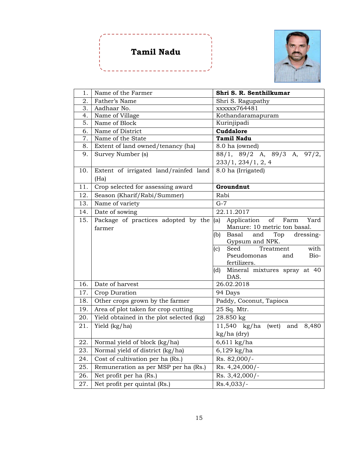### **Tamil Nadu**



| 1.  | Name of the Farmer                       | Shri S. R. Senthilkumar                    |
|-----|------------------------------------------|--------------------------------------------|
| 2.  | Father's Name                            | Shri S. Ragupathy                          |
| 3.  | Aadhaar No.                              | xxxxxx764481                               |
| 4.  | Name of Village                          | Kothandaramapuram                          |
| 5.  | Name of Block                            | Kurinjipadi                                |
| 6.  | Name of District                         | Cuddalore                                  |
| 7.  | Name of the State                        | <b>Tamil Nadu</b>                          |
| 8.  | Extent of land owned/tenancy (ha)        | 8.0 ha (owned)                             |
| 9.  | Survey Number (s)                        | 88/1, 89/2 A, 89/3 A, 97/2,                |
|     |                                          | 233/1, 234/1, 2, 4                         |
| 10. | Extent of irrigated land/rainfed land    | 8.0 ha (Irrigated)                         |
|     | (Ha)                                     |                                            |
| 11. | Crop selected for assessing award        | Groundnut                                  |
| 12. | Season (Kharif/Rabi/Summer)              | Rabi                                       |
| 13. | Name of variety                          | $G-7$                                      |
| 14. | Date of sowing                           | 22.11.2017                                 |
| 15. | Package of practices adopted by the      | Application<br>(a)<br>of<br>Farm<br>Yard   |
|     | farmer                                   | Manure: 10 metric ton basal.               |
|     |                                          | Basal<br>(b)<br>and<br>Top<br>dressing-    |
|     |                                          | Gypsum and NPK.                            |
|     |                                          | Seed<br>with<br>Treatment<br>(c)           |
|     |                                          | Pseudomonas<br>Bio-<br>and<br>fertilizers. |
|     |                                          | Mineral mixtures spray at 40<br>(d)        |
|     |                                          | DAS.                                       |
| 16. | Date of harvest                          | 26.02.2018                                 |
| 17. | Crop Duration                            | 94 Days                                    |
| 18. | Other crops grown by the farmer          | Paddy, Coconut, Tapioca                    |
| 19. | Area of plot taken for crop cutting      | 25 Sq. Mtr.                                |
| 20. | Yield obtained in the plot selected (kg) | 28.850 kg                                  |
| 21. | Yield (kg/ha)                            | 11,540 kg/ha<br>(wet)<br>and 8,480         |
|     |                                          | kg/ha (dry)                                |
| 22. | Normal yield of block (kg/ha)            | $6,611$ kg/ha                              |
| 23. | Normal yield of district (kg/ha)         | $6,129$ kg/ha                              |
| 24. | Cost of cultivation per ha (Rs.)         | Rs. 82,000/-                               |
| 25. | Remuneration as per MSP per ha (Rs.)     | Rs. 4,24,000/-                             |
| 26. | Net profit per ha (Rs.)                  | Rs. 3,42,000/-                             |
| 27. | Net profit per quintal (Rs.)             | $Rs.4,033/-$                               |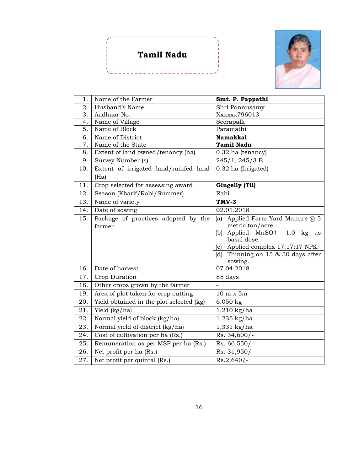# **Tamil Nadu**



| 1.  | Name of the Farmer                       | Smt. P. Pappathi                                    |
|-----|------------------------------------------|-----------------------------------------------------|
| 2.  | Husband's Name                           | Shri Ponnusamy                                      |
| 3.  | Aadhaar No.                              | Xxxxx796013                                         |
| 4.  | Name of Village                          | Seerapalli                                          |
| 5.  | Name of Block                            | Paramathi                                           |
| 6.  | Name of District                         | <b>Namakkal</b>                                     |
| 7.  | Name of the State                        | <b>Tamil Nadu</b>                                   |
| 8.  | Extent of land owned/tenancy (ha)        | 0.32 ha (tenancy)                                   |
| 9.  | Survey Number (s)                        | 245/1, 245/3 B                                      |
| 10. | Extent of irrigated land/rainfed land    | 0.32 ha (Irrigated)                                 |
|     | (Ha)                                     |                                                     |
| 11. | Crop selected for assessing award        | Gingelly (Til)                                      |
| 12. | Season (Kharif/Rabi/Summer)              | Rabi                                                |
| 13. | Name of variety                          | TMV-3                                               |
| 14. | Date of sowing                           | 02.01.2018                                          |
| 15. | Package of practices adopted by the      | Applied Farm Yard Manure @ 5<br>(a)                 |
|     | farmer                                   | metric ton/acre.                                    |
|     |                                          | (b) Applied MnSO4- $1.0$ kg<br>as                   |
|     |                                          | basal dose.<br>Applied complex 17:17:17 NPK.<br>(c) |
|     |                                          | (d) Thinning on 15 & 30 days after                  |
|     |                                          | sowing.                                             |
| 16. | Date of harvest                          | 07.04.2018                                          |
| 17. | Crop Duration                            | 85 days                                             |
| 18. | Other crops grown by the farmer          |                                                     |
| 19. | Area of plot taken for crop cutting      | 10 m x 5m                                           |
| 20. | Yield obtained in the plot selected (kg) | $6.050$ kg                                          |
| 21. | Yield (kg/ha)                            | $1,210$ kg/ha                                       |
| 22. | Normal yield of block (kg/ha)            | 1,235 kg/ha                                         |
| 23. | Normal yield of district (kg/ha)         | 1,331 kg/ha                                         |
| 24. | Cost of cultivation per ha (Rs.)         | Rs. 34,600/-                                        |
| 25. | Remuneration as per MSP per ha (Rs.)     | Rs. 66,550/-                                        |
| 26. | Net profit per ha (Rs.)                  | Rs. 31,950/-                                        |
| 27. | Net profit per quintal (Rs.)             | $Rs.2,640/-$                                        |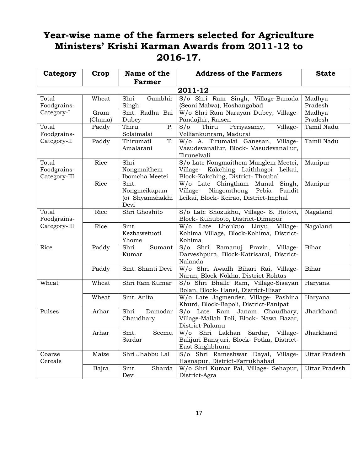### **Year-wise name of the farmers selected for Agriculture Ministers' Krishi Karman Awards from 2011-12 to 2016-17.**

| Category                             | Crop            | Name of the<br><b>Farmer</b>                    | <b>Address of the Farmers</b>                                                                                          | <b>State</b>         |  |
|--------------------------------------|-----------------|-------------------------------------------------|------------------------------------------------------------------------------------------------------------------------|----------------------|--|
| 2011-12                              |                 |                                                 |                                                                                                                        |                      |  |
| Total<br>Foodgrains-                 | Wheat           | Gambhir<br>Shri<br>Singh                        | S/o Shri Ram Singh, Village-Banada<br>(Seoni Malwa), Hoshangabad                                                       | Madhya<br>Pradesh    |  |
| Category-I                           | Gram<br>(Chana) | Smt. Radha Bai<br>Dubey                         | W/o Shri Ram Narayan Dubey, Village-<br>Pandajhir, Raisen                                                              | Madhya<br>Pradesh    |  |
| Total<br>Foodgrains-                 | Paddy           | Thiru<br>Ρ.<br>Solaimalai                       | S/O<br>Thiru<br>Periyasamy,<br>Village-<br>Velliankunram, Madurai                                                      | Tamil Nadu           |  |
| Category-II                          | Paddy           | Thirumati<br>T.<br>Amalarani                    | W/o A. Tirumalai Ganesan, Village-<br>Vasudevanallur, Block- Vasudevanallur,<br>Tirunelvali                            | Tamil Nadu           |  |
| Total<br>Foodgrains-<br>Category-III | Rice            | Shri<br>Nongmaithem<br>Ibomcha Meetei           | S/o Late Nongmaithem Manglem Meetei,<br>Village- Kakching Laithhagoi Leikai,<br>Block-Kakching, District-Thoubal       | Manipur              |  |
|                                      | Rice            | Smt.<br>Nongmeikapam<br>(o) Shyamshakhi<br>Devi | W/o Late Chingtham Munal<br>Singh,<br>Village- Ningomthong<br>Pebia<br>Pandit<br>Leikai, Block-Keirao, District-Imphal | Manipur              |  |
| Total<br>Foodgrains-                 | Rice            | Shri Ghoshito                                   | S/o Late Shozukhu, Village- S. Hotovi,<br>Block-Kuhuboto, District-Dimapur                                             | Nagaland             |  |
| Category-III                         | Rice            | Smt.<br>Kezhawetuoti<br>Yhome                   | W/o Late Lhoukuo Linyu,<br>Village-<br>Kohima Village, Block-Kohima, District-<br>Kohima                               | Nagaland             |  |
| Rice                                 | Paddy           | Shri<br>Sumant<br>Kumar                         | $S/\sigma$<br>Shri Ramanuj Pravin,<br>Village-<br>Darveshpura, Block-Katrisarai, District-<br>Nalanda                  | Bihar                |  |
|                                      | Paddy           | Smt. Shanti Devi                                | W/o Shri Awadh Bihari Rai, Village-<br>Naran, Block-Nokha, District-Rohtas                                             | Bihar                |  |
| Wheat                                | Wheat           | Shri Ram Kumar                                  | S/o Shri Bhalle Ram, Village-Sisayan<br>Bolan, Block-Hansi, District-Hisar                                             | Haryana              |  |
|                                      | Wheat           | Smt. Anita                                      | W/o Late Jagmender, Village- Pashina<br>Khurd, Block-Bapoli, District-Panipat                                          | Haryana              |  |
| Pulses                               | Arhar           | Shri<br>Damodar<br>Chaudhary                    | S/o Late Ram Janam<br>Chaudhary,<br>Village-Mallah Toli, Block- Nawa Bazar,<br>District-Palamu                         | Jharkhand            |  |
|                                      | Arhar           | Smt.<br>Seemu<br>Sardar                         | W/o Shri Lakhan Sardar, Village-<br>Balijuri Bansjuri, Block- Potka, District-<br>East Singhbhumi                      | Jharkhand            |  |
| Coarse<br>Cereals                    | Maize           | Shri Jhabbu Lal                                 | S/o Shri Rameshwar Dayal, Village-<br>Hasnapur, District-Farrukhabad                                                   | <b>Uttar Pradesh</b> |  |
|                                      | Bajra           | Smt.<br>Sharda<br>Devi                          | W/o Shri Kumar Pal, Village- Sehapur,<br>District-Agra                                                                 | Uttar Pradesh        |  |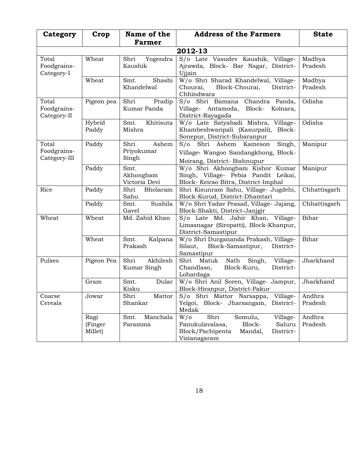| Category                             | Crop                       | Name of the<br><b>Farmer</b>         | <b>Address of the Farmers</b>                                                                                                                | <b>State</b>      |  |  |  |
|--------------------------------------|----------------------------|--------------------------------------|----------------------------------------------------------------------------------------------------------------------------------------------|-------------------|--|--|--|
|                                      | 2012-13                    |                                      |                                                                                                                                              |                   |  |  |  |
| Total<br>Foodgrains-<br>Category-I   | Wheat                      | Shri<br>Yogendra<br>Kaushik          | S/o Late Vasudev Kaushik, Village-<br>Ajrawda, Block- Bar Nagar, District-<br>Ujjain                                                         | Madhya<br>Pradesh |  |  |  |
|                                      | Wheat                      | Shashi<br>Smt.<br>Khandelwal         | W/o Shri Sharad Khandelwal, Village-<br>Block-Chourai,<br>Chourai,<br>District-<br>Chhindwara                                                | Madhya<br>Pradesh |  |  |  |
| Total<br>Foodgrains-<br>Category-II  | Pigeon pea                 | Shri<br>Pradip<br>Kumar Panda        | S/o Shri Bamana Chandra Panda,<br>Village- Antamoda, Block- Kolnara,<br>District-Rayagada                                                    | Odisha            |  |  |  |
|                                      | Hybrid<br>Paddy            | Khitisuta<br>Smt.<br>Mishra          | W/o Late Satyabadi Mishra, Village-<br>Khambeshwaripali (Kasurpali), Block-<br>Sonepur, District-Subaranpur                                  | Odisha            |  |  |  |
| Total<br>Foodgrains-<br>Category-III | Paddy                      | Shri<br>Ashem<br>Priyokumar<br>Singh | S/o Shri Ashem Kameson<br>Singh,<br>Village- Wangoo Sandangkhong, Block-<br>Moirang, District-Bishnupur                                      | Manipur           |  |  |  |
|                                      | Paddy                      | Smt.<br>Akhongbam<br>Victoria Devi   | W/o Shri Akhongbam Kishor Kumar<br>Singh, Village- Pebia Pandit Leikai,<br>Block- Keirao Bitra, District-Imphal                              | Manipur           |  |  |  |
| Rice                                 | Paddy                      | Shri<br>Bholaram<br>Sahu             | Shri Kisunram Sahu, Village- Jugdehi,<br>Block-Kurud, District-Dhamtari                                                                      | Chhattisgarh      |  |  |  |
|                                      | Paddy                      | Sushila<br>Smt.<br>Gavel             | W/o Shri Yadav Prasad, Village- Jajang,<br>Block-Shakti, District-Janjgir                                                                    | Chhattisgarh      |  |  |  |
| Wheat                                | Wheat                      | Md. Zahid Khan                       | S/o Late Md. Jahir Khan, Village-<br>Limasnagar (Siropatti), Block-Khanpur,<br>District-Samastipur                                           | Bihar             |  |  |  |
|                                      | Wheat                      | Smt.<br>Kalpana<br>Prakash           | W/o Shri Durgananda Prakash, Village-<br>Silaut, Block-Samastipur,<br>District-<br>Samastipur                                                | Bihar             |  |  |  |
| Pulses                               | Pigeon Pea                 | Akhilesh<br>Shri<br>Kumar Singh      | Shri Matuk<br>Nath<br>Singh,<br>Village-<br>Chandlaso,<br>Block-Kuru,<br>District-<br>Lohardaga                                              | Jharkhand         |  |  |  |
|                                      | Gram                       | Dular<br>Smt.<br>Kisku               | W/o Shri Anil Soren, Village- Jampur,<br>Block-Hiranpur, District-Pakur                                                                      | Jharkhand         |  |  |  |
| Coarse<br>Cereals                    | Jowar                      | Shri<br>Mattor<br>Shankar            | Village-<br>S/o Shri Mattor Narsappa,<br>Yelgoi, Block- Jharsangam,<br>District-<br>Medak                                                    | Andhra<br>Pradesh |  |  |  |
|                                      | Ragi<br>(Finger<br>Millet) | Manchala<br>Smt.<br>Paramma          | $W/\sigma$<br>Shri<br>Somulu,<br>Village-<br>Panukulavalasa,<br>Block-<br>Saluru<br>Block/Pachipenta<br>Mandal,<br>District-<br>Vizianagaram | Andhra<br>Pradesh |  |  |  |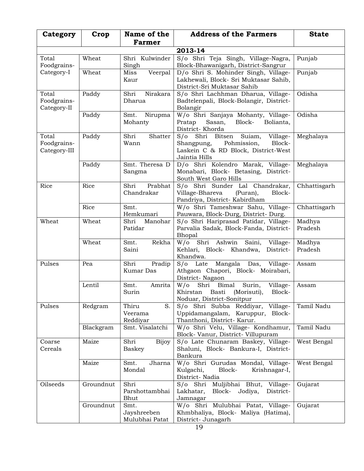| Category                             | Crop      | Name of the<br><b>Farmer</b>          | <b>Address of the Farmers</b>                                                                                                  | <b>State</b>      |  |  |
|--------------------------------------|-----------|---------------------------------------|--------------------------------------------------------------------------------------------------------------------------------|-------------------|--|--|
|                                      | 2013-14   |                                       |                                                                                                                                |                   |  |  |
| Total<br>Foodgrains-                 | Wheat     | Shri Kulwinder<br>Singh               | S/o Shri Teja Singh, Village-Nagra,<br>Block-Bhawanigarh, District-Sangrur                                                     | Punjab            |  |  |
| Category-I                           | Wheat     | Veerpal<br>Miss<br>Kaur               | D/o Shri S. Mohinder Singh, Village-<br>Lakhewali, Block- Sri Muktasar Sahib,<br>District-Sri Muktasar Sahib                   | Punjab            |  |  |
| Total<br>Foodgrains-<br>Category-II  | Paddy     | Shri<br>Nirakara<br>Dharua            | S/o Shri Lachhman Dharua, Village-<br>Badtelenpali, Block-Bolangir, District-<br>Bolangir                                      | Odisha            |  |  |
|                                      | Paddy     | Nirupma<br>Smt.<br>Mohanty            | W/o Shri Sanjaya Mohanty, Village-<br>Pratap<br>Sasan,<br>Block-<br>Bolianta,<br>District-Khorda                               | Odisha            |  |  |
| Total<br>Foodgrains-<br>Category-III | Paddy     | Shri<br>Shatter<br>Wann               | S/o Shri Bitsen Suiam, Village-<br>Pohmission,<br>Block-<br>Shangpung,<br>Laskein C & RD Block, District-West<br>Jaintia Hills | Meghalaya         |  |  |
|                                      | Paddy     | Smt. Theresa D<br>Sangma              | D/o Shri Kolendro Marak, Village-<br>Monabari, Block- Betasing, District-<br>South West Garo Hills                             | Meghalaya         |  |  |
| Rice                                 | Rice      | Prabhat<br>Shri<br>Chandrakar         | S/o Shri Sunder Lal Chandrakar,<br>Village-Bhareva<br>(Puran),<br>Block-<br>Pandriya, District- Kabirdham                      | Chhattisgarh      |  |  |
|                                      | Rice      | Smt.<br>Hemkumari                     | W/o Shri Tameshwar Sahu, Village-<br>Pauwara, Block-Durg, District-Durg.                                                       | Chhattisgarh      |  |  |
| Wheat                                | Wheat     | Shri<br>Manohar<br>Patidar            | S/o Shri Hariprasad Patidar, Village-<br>Parvalia Sadak, Block-Fanda, District-<br>Bhopal                                      | Madhya<br>Pradesh |  |  |
|                                      | Wheat     | Rekha<br>Smt.<br>Saini                | W/o Shri Ashwin Saini,<br>Village-<br>Kehlari, Block- Khandwa,<br>District-<br>Khandwa.                                        | Madhya<br>Pradesh |  |  |
| Pulses                               | Pea       | Shri<br>Pradip<br><b>Kumar</b> Das    | S/o Late Mangala Das, Village-<br>Athgaon Chapori, Block- Moirabari,<br>District-Nagaon                                        | Assam             |  |  |
|                                      | Lentil    | Smt.<br>Amrita<br>Surin               | W/o Shri Bimal Surin,<br>Village-<br>Block-<br>Khirstan<br>Basti<br>(Morisuti),<br>Noduar, District-Sonitpur                   | Assam             |  |  |
| Pulses                               | Redgram   | Thiru<br>S.<br>Veerama<br>Reddiyar    | S/o Shri Subba Reddiyar, Village-<br>Uppidamangalam, Karuppur, Block-<br>Thanthoni, District-Karur.                            | Tamil Nadu        |  |  |
|                                      | Blackgram | Smt. Visalatchi                       | W/o Shri Velu, Village- Kondhamur,<br>Block-Vanur, District-Villupuram                                                         | Tamil Nadu        |  |  |
| Coarse<br>Cereals                    | Maize     | Shri<br><b>Bijoy</b><br>Baskey        | S/o Late Chunaram Baskey, Village-<br>Shaluni, Block- Bankura-I, District-<br>Bankura                                          | West Bengal       |  |  |
|                                      | Maize     | Smt.<br>Jharna<br>Mondal              | W/o Shri Gurudas Mondal, Village-<br>Kulgachi,<br>Block-<br>Krishnagar-I,<br>District-Nadia                                    | West Bengal       |  |  |
| Oilseeds                             | Groundnut | Shri<br>Parshottambhai<br>Bhut        | Muljibhai Bhut,<br>S/o Shri<br>Village-<br>Lakhatar,<br>Block- Jodiya,<br>District-<br>Jamnagar                                | Gujarat           |  |  |
|                                      | Groundnut | Smt.<br>Jayshreeben<br>Mulubhai Patat | W/o Shri Mulubhai Patat, Village-<br>Khmbhaliya, Block- Maliya (Hatima),<br>District- Junagarh                                 | Gujarat           |  |  |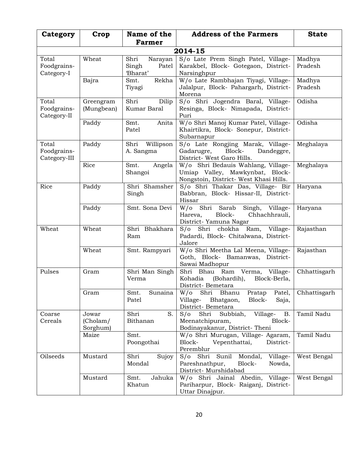| Category                             | Crop                          | Name of the<br><b>Farmer</b>                  | <b>Address of the Farmers</b>                                                                                         | <b>State</b>      |  |
|--------------------------------------|-------------------------------|-----------------------------------------------|-----------------------------------------------------------------------------------------------------------------------|-------------------|--|
| 2014-15                              |                               |                                               |                                                                                                                       |                   |  |
| Total<br>Foodgrains-<br>Category-I   | Wheat                         | Shri<br>Narayan<br>Patel<br>Singh<br>'Bharat' | S/o Late Prem Singh Patel, Village-<br>Karakbel, Block- Gotegaon, District-<br>Narsinghpur                            | Madhya<br>Pradesh |  |
|                                      | Bajra                         | Rekha<br>Smt.<br>Tiyagi                       | W/o Late Rambhajan Tiyagi, Village-<br>Jalalpur, Block- Pahargarh, District-<br>Morena                                | Madhya<br>Pradesh |  |
| Total<br>Foodgrains-<br>Category-II  | Greengram<br>(Mungbean)       | Shri<br>Dilip<br>Kumar Baral                  | S/o Shri Jogendra Baral, Village-<br>Resinga, Block- Nimapada, District-<br>Puri                                      | Odisha            |  |
|                                      | Paddy                         | Smt.<br>Anita<br>Patel                        | W/o Shri Manoj Kumar Patel, Village-<br>Khairtikra, Block- Sonepur, District-<br>Subarnapur                           | Odisha            |  |
| Total<br>Foodgrains-<br>Category-III | Paddy                         | Willipson<br>Shri<br>A. Sangma                | S/o Late Rongjing Marak, Village-<br>Gadarugre,<br>Block-<br>Dandeggre,<br>District- West Garo Hills.                 | Meghalaya         |  |
|                                      | Rice                          | Smt.<br>Angela<br>Shangoi                     | W/o Shri Bedauis Wahlang, Village-<br>Umiap Valley, Mawkynbat, Block-<br>Nongstoin, District- West Khasi Hills.       | Meghalaya         |  |
| Rice                                 | Paddy                         | Shri Shamsher<br>Singh                        | S/o Shri Thakar Das, Village- Bir<br>Babbran, Block- Hissar-II, District-<br>Hissar                                   | Haryana           |  |
|                                      | Paddy                         | Smt. Sona Devi                                | W/o Shri Sarab Singh, Village-<br>Block-<br>Hareva,<br>Chhachhrauli,<br>District-Yamuna Nagar                         | Haryana           |  |
| Wheat                                | Wheat                         | Shri Bhakhara<br>Ram                          | S/o Shri chokha Ram, Village-<br>Padardi, Block- Chitalwana, District-<br>Jalore                                      | Rajasthan         |  |
|                                      | Wheat                         | Smt. Rampyari                                 | W/o Shri Meetha Lal Meena, Village-<br>Goth, Block- Bamanwas, District-<br>Sawai Madhopur                             | Rajasthan         |  |
| Pulses                               | Gram                          | Shri Man Singh<br>Verma                       | Shri Bhau Ram Verma, Village-<br>Kohadia<br>(Bohardih),<br>Block-Berla,<br>District-Bemetara                          | Chhattisgarh      |  |
|                                      | Gram                          | Smt.<br>Sunaina<br>Patel                      | W/o Shri Bhanu<br>Patel,<br>Pratap<br>Village-<br>Bhatgaon,<br>Block-<br>Saja,<br>District-Bemetara                   | Chhattisgarh      |  |
| Coarse<br>Cereals                    | Jowar<br>(Cholam/<br>Sorghum) | Shri<br>S.<br>Bithanan                        | $S/\sigma$<br>Shri<br>Subbiah,<br>Village-<br><b>B.</b><br>Meenatchipuram,<br>Block-<br>Bodinayakanur, District-Theni | Tamil Nadu        |  |
|                                      | Maize                         | Smt.<br>Poongothai                            | W/o Shri Murugan, Village- Agaram,<br>Block-<br>Vepenthattai,<br>District-<br>Peremblur                               | Tamil Nadu        |  |
| Oilseeds                             | Mustard                       | Shri<br>Sujoy<br>Mondal                       | Sunil<br>S/o Shri<br>Mondal,<br>Village-<br>Pareshnathpur,<br>Block-<br>Nowda,<br>District- Murshidabad               | West Bengal       |  |
|                                      | Mustard                       | Jahuka<br>Smt.<br>Khatun                      | W/o Shri Jainal Abedin,<br>Village-<br>Pariharpur, Block- Raiganj, District-<br>Uttar Dinajpur.                       | West Bengal       |  |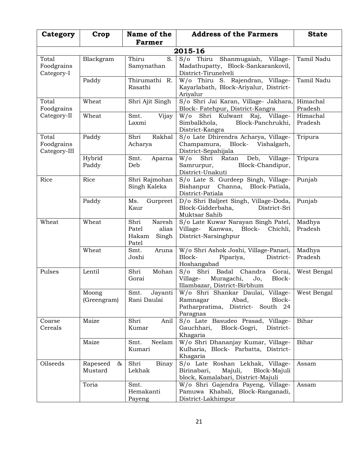| Category                            | Crop                     | Name of the                                                 | <b>Address of the Farmers</b>                                                                                        | <b>State</b>        |  |  |  |
|-------------------------------------|--------------------------|-------------------------------------------------------------|----------------------------------------------------------------------------------------------------------------------|---------------------|--|--|--|
|                                     |                          | <b>Farmer</b>                                               |                                                                                                                      |                     |  |  |  |
|                                     | 2015-16                  |                                                             |                                                                                                                      |                     |  |  |  |
| Total<br>Foodgrains<br>Category-I   | Blackgram                | Thiru<br>S.<br>Samynathan                                   | S/o Thiru Shanmugaiah, Village-<br>Madathupatty, Block-Sankarankovil,<br>District-Tirunelveli                        | Tamil Nadu          |  |  |  |
|                                     | Paddy                    | Thirumathi R.<br>Rasathi                                    | W/o Thiru S. Rajendran, Village-<br>Kayarlabath, Block-Ariyalur, District-<br>Ariyalur                               | Tamil Nadu          |  |  |  |
| Total<br>Foodgrains                 | Wheat                    | Shri Ajit Singh                                             | S/o Shri Jai Karan, Village- Jakhara,<br>Block-Fatehpur, District-Kangra                                             | Himachal<br>Pradesh |  |  |  |
| Category-II                         | Wheat                    | Smt.<br>Vijay<br>Laxmi                                      | W/o Shri Kulwant Raj, Village-<br>Simbalkhola,<br>Block-Panchrukhi,<br>District-Kangra                               | Himachal<br>Pradesh |  |  |  |
| Total<br>Foodgrains<br>Category-III | Paddy                    | Rakhal<br>Shri<br>Acharya                                   | S/o Late Dhirendra Acharya, Village-<br>Champamura, Block-<br>Vishalgarh,<br>District-Sepahijala                     | Tripura             |  |  |  |
|                                     | Hybrid<br>Paddy          | Smt.<br>Aparna<br>Deb                                       | W/o Shri Ratan<br>Deb, Village-<br>Samrurpur,<br>Block-Chandipur,<br>District-Unakuti                                | Tripura             |  |  |  |
| Rice                                | Rice                     | Shri Rajmohan<br>Singh Kaleka                               | S/o Late S. Gurdeep Singh, Village-<br>Bishanpur Channa, Block-Patiala,<br>District-Patiala                          | Punjab              |  |  |  |
|                                     | Paddy                    | Ms.<br>Gurpreet<br>Kaur                                     | D/o Shri Baljeet Singh, Village-Doda,<br>Block-Gidderbaha,<br>District-Sri<br>Muktsar Sahib                          | Punjab              |  |  |  |
| Wheat                               | Wheat                    | Naresh<br>Shri<br>Patel<br>alias<br>Hakam<br>Singh<br>Patel | S/o Late Kuwar Narayan Singh Patel,<br>Village-<br>Kanwas, Block- Chichli,<br>District-Narsinghpur                   | Madhya<br>Pradesh   |  |  |  |
|                                     | Wheat                    | Smt.<br>Aruna<br>Joshi                                      | W/o Shri Ashok Joshi, Village-Panari,<br>Block-<br>Pipariya,<br>District-<br>Hoshangabad                             | Madhya<br>Pradesh   |  |  |  |
| Pulses                              | Lentil                   | Shri<br>Mohan<br>Gorai                                      | S/o Shri Badal Chandra<br>Gorai,<br>Village-<br>Muragachi,<br>Jo,<br>Block-<br>Illambazar, District-Birbhum          | West Bengal         |  |  |  |
|                                     | Moong<br>(Greengram)     | Smt.<br>Jayanti<br>Rani Daulai                              | W/o Shri Shankar Daulai, Village-<br>Abad,<br>Block-<br>Ramnagar<br>Patharpratima,<br>District- South 24<br>Paragnas | West Bengal         |  |  |  |
| Coarse<br>Cereals                   | Maize                    | Shri<br>Anil<br>Kumar                                       | S/o Late Basudeo Prasad, Village-<br>Block-Gogri,<br>Gauchhari,<br>District-<br>Khagaria                             | Bihar               |  |  |  |
|                                     | Maize                    | Neelam<br>Smt.<br>Kumari                                    | W/o Shri Dhananjay Kumar, Village-<br>Kulharia, Block- Parbatta, District-<br>Khagaria                               | Bihar               |  |  |  |
| Oilseeds                            | Rapeseed<br>&<br>Mustard | Shri<br>Binay<br>Lekhak                                     | S/o Late Roshan Lekhak, Village-<br>Birinabari,<br>Majuli,<br>Block-Majuli<br>block, Kamalabari, District-Majuli     | Assam               |  |  |  |
|                                     | Toria                    | Smt.<br>Hemakanti<br>Payeng                                 | W/o Shri Gajendra Payeng, Village-<br>Pamuwa Khabali, Block-Ranganadi,<br>District-Lakhimpur                         | Assam               |  |  |  |